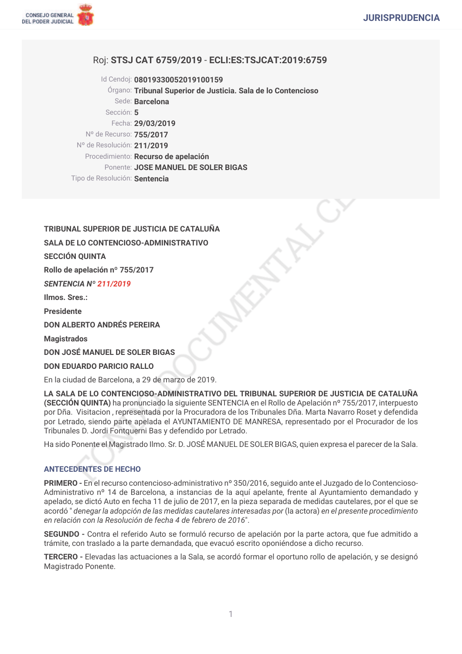

# Roj: STSJ CAT 6759/2019 - ECLI:ES:TSJCAT:2019:6759

Id Cendoj: 08019330052019100159 Órgano: Tribunal Superior de Justicia. Sala de lo Contencioso Sede: **Barcelona** Sección: 5 Fecha: 29/03/2019 Nº de Recurso: 755/2017 Nº de Resolución: 211/2019 Procedimiento: Recurso de apelación Ponente: JOSE MANUEL DE SOLER BIGAS Tipo de Resolución: Sentencia

TRIBUNAL SUPERIOR DE JUSTICIA DE CATALUÑA

SALA DE LO CONTENCIOSO-ADMINISTRATIVO

**SECCIÓN OUINTA** 

Rollo de apelación nº 755/2017

SENTENCIA Nº 211/2019

Ilmos, Sres.:

**Presidente** 

**DON ALBERTO ANDRÉS PEREIRA** 

**Magistrados** 

**DON JOSÉ MANUEL DE SOLER BIGAS** 

#### **DON EDUARDO PARICIO RALLO**

En la ciudad de Barcelona, a 29 de marzo de 2019.

LA SALA DE LO CONTENCIOSO-ADMINISTRATIVO DEL TRIBUNAL SUPERIOR DE JUSTICIA DE CATALUÑA (SECCIÓN QUINTA) ha pronunciado la siguiente SENTENCIA en el Rollo de Apelación nº 755/2017, interpuesto por Dña. Visitacion, representada por la Procuradora de los Tribunales Dña. Marta Navarro Roset y defendida por Letrado, siendo parte apelada el AYUNTAMIENTO DE MANRESA, representado por el Procurador de los Tribunales D. Jordi Fontquerni Bas y defendido por Letrado.

Ha sido Ponente el Magistrado Ilmo. Sr. D. JOSÉ MANUEL DE SOLER BIGAS, quien expresa el parecer de la Sala.

### **ANTECEDENTES DE HECHO**

PRIMERO - En el recurso contencioso-administrativo nº 350/2016, seguido ante el Juzgado de lo Contencioso-Administrativo nº 14 de Barcelona, a instancias de la aquí apelante, frente al Ayuntamiento demandado y apelado, se dictó Auto en fecha 11 de julio de 2017, en la pieza separada de medidas cautelares, por el que se acordó " denegar la adopción de las medidas cautelares interesadas por (la actora) en el presente procedimiento en relación con la Resolución de fecha 4 de febrero de 2016".

SEGUNDO - Contra el referido Auto se formuló recurso de apelación por la parte actora, que fue admitido a trámite, con traslado a la parte demandada, que evacuó escrito oponiéndose a dicho recurso.

TERCERO - Elevadas las actuaciones a la Sala, se acordó formar el oportuno rollo de apelación, y se designó Magistrado Ponente.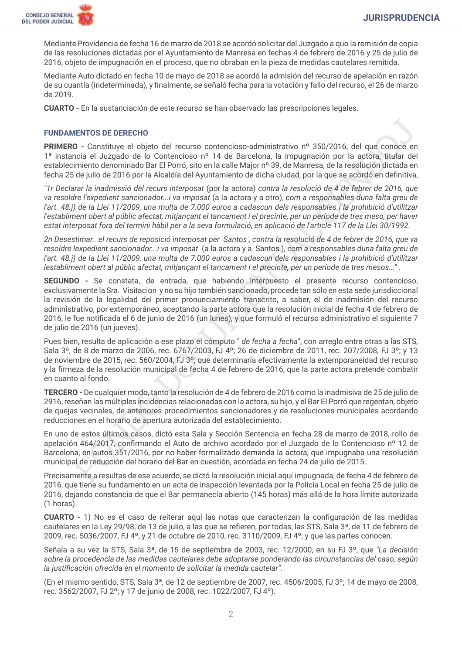

Mediante Providencia de fecha 16 de marzo de 2018 se acordó solicitar del Juzgado a quo la remisión de copia de las resoluciones dictadas por el Ayuntamiento de Manresa en fechas 4 de febrero de 2016 y 25 de julio de 2016, objeto de impugnación en el proceso, que no obraban en la pieza de medidas cautelares remitida.

Mediante Auto dictado en fecha 10 de mayo de 2018 se acordó la admisión del recurso de apelación en razón de su cuantía (indeterminada), y finalmente, se señaló fecha para la votación y fallo del recurso, el 26 de marzo de 2019.

CUARTO - En la sustanciación de este recurso se han observado las prescripciones legales.

#### **FUNDAMENTOS DE DERECHO**

PRIMERO - Constituye el objeto del recurso contencioso-administrativo nº 350/2016, del que conoce en 1ª instancia el Juzgado de lo Contencioso nº 14 de Barcelona, la impugnación por la actora, titular del establecimiento denominado Bar El Porró, sito en la calle Major nº 39, de Manresa, de la resolución dictada en fecha 25 de julio de 2016 por la Alcaldía del Ayuntamiento de dicha ciudad, por la que se acordó en definitiva,

"1r Declarar la inadmissió del recurs interposat (por la actora) contra la resolució de 4 de febrer de 2016, que va resoldre l'expedient sancionador...i va imposat (a la actora y a otro), com a responsables duna falta greu de l'art. 48.j) de la Llei 11/2009, una multa de 7.000 euros a cadascun dels responsables i la prohibició d'utilitzar l'establiment obert al públic afectat, mitjançant el tancament i el precinte, per un període de tres meso, per haver estat interposat fora del termini hàbil per a la seva formulació, en aplicació de l'article 117 de la Llei 30/1992.

2n Desestimar...el recurs de reposició interposat per Santos, contra la resolució de 4 de febrer de 2016, que va resoldre lexpedient sancionador...i va imposat (a la actora y a Santos), com a responsables duna falta greu de l'art. 48.j) de la Llei 11/2009, una multa de 7.000 euros a cadascun dels responsables i la prohibició d'utilitzar lestabliment obert al públic afectat, mitjançant el tancament i el precinte, per un període de tres mesos...".

SEGUNDO - Se constata, de entrada, que habiendo interpuesto el presente recurso contencioso, exclusivamente la Sra. Visitacion y no su hijo también sancionado, procede tan sólo en esta sede jurisdiccional la revisión de la legalidad del primer pronunciamiento transcrito, a saber, el de inadmisión del recurso administrativo, por extemporáneo, aceptando la parte actora que la resolución inicial de fecha 4 de febrero de 2016, le fue notificada el 6 de junio de 2016 (un lunes), y que formuló el recurso administrativo el siguiente 7 de julio de 2016 (un jueves).

Pues bien, resulta de aplicación a ese plazo el cómputo " de fecha a fecha", con arreglo entre otras a las STS, Sala 3<sup>ª</sup>, de 8 de marzo de 2006, rec. 6767/2003, FJ 4<sup>o</sup>; 26 de diciembre de 2011, rec. 207/2008, FJ 3<sup>o</sup>; y 13 de noviembre de 2015, rec. 560/2004, FJ 3°; que determinaría efectivamente la extemporaneidad del recurso y la firmeza de la resolución municipal de fecha 4 de febrero de 2016, que la parte actora pretende combatir en cuanto al fondo.

TERCERO - De cualquier modo, tanto la resolución de 4 de febrero de 2016 como la inadmisiva de 25 de julio de 2916, reseñan las múltiples incidencias relacionadas con la actora, su hijo, y el Bar El Porró que regentan, objeto de quejas vecinales, de anteriores procedimientos sancionadores y de resoluciones municipales acordando reducciones en el horario de apertura autorizada del establecimiento.

En uno de estos últimos casos, dictó esta Sala y Sección Sentencia en fecha 28 de marzo de 2018, rollo de apelación 464/2017, confirmando el Auto de archivo acordado por el Juzgado de lo Contencioso nº 12 de Barcelona, en autos 351/2016, por no haber formalizado demanda la actora, que impugnaba una resolución municipal de reducción del horario del Bar en cuestión, acordada en fecha 24 de julio de 2015.

Precisamente a resultas de ese acuerdo, se dictó la resolución inicial aquí impugnada, de fecha 4 de febrero de 2016, que tiene su fundamento en un acta de inspección levantada por la Policía Local en fecha 25 de julio de 2016, dejando constancia de que el Bar permanecía abierto (145 horas) más allá de la hora límite autorizada  $(1$  horas).

CUARTO - 1) No es el caso de reiterar aquí las notas que caracterizan la configuración de las medidas cautelares en la Ley 29/98, de 13 de julio, a las que se refieren, por todas, las STS, Sala 3ª, de 11 de febrero de 2009, rec. 5036/2007, FJ 4°, y 21 de octubre de 2010, rec. 3110/2009, FJ 4°, y que las partes conocen.

Señala a su vez la STS, Sala 3ª, de 15 de septiembre de 2003, rec. 12/2000, en su FJ 3°, que "La decisión sobre la procedencia de las medidas cautelares debe adoptarse ponderando las circunstancias del caso, según la justificación ofrecida en el momento de solicitar la medida cautelar".

(En el mismo sentido, STS, Sala 3ª, de 12 de septiembre de 2007, rec. 4506/2005, FJ 3°; 14 de mayo de 2008, rec. 3562/2007, FJ 2°; y 17 de junio de 2008, rec. 1022/2007, FJ 4°).